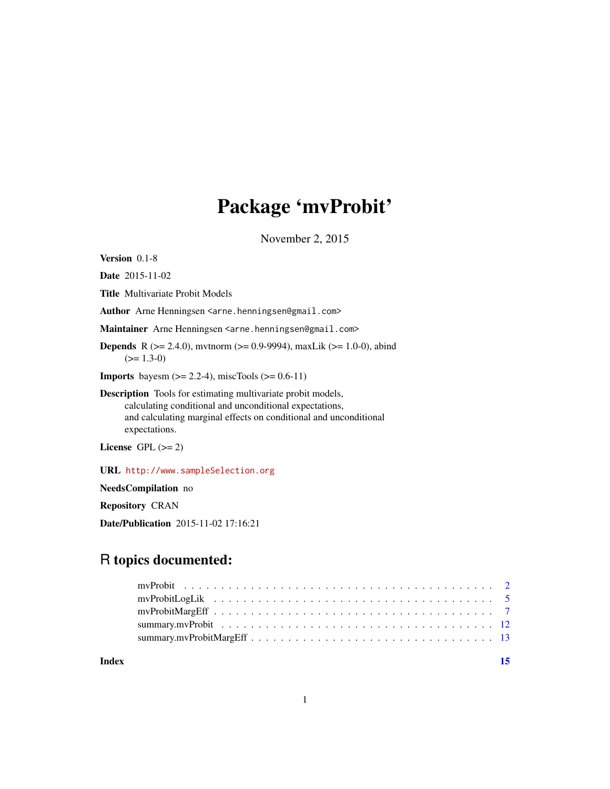# Package 'mvProbit'

November 2, 2015

<span id="page-0-0"></span>Version 0.1-8

Date 2015-11-02

Title Multivariate Probit Models

Author Arne Henningsen <arne.henningsen@gmail.com>

Maintainer Arne Henningsen <arne.henningsen@gmail.com>

**Depends** R ( $>= 2.4.0$ ), mvtnorm ( $>= 0.9-9994$ ), maxLik ( $>= 1.0-0$ ), abind  $(>= 1.3-0)$ 

**Imports** bayesm  $(>= 2.2 - 4)$ , miscTools  $(>= 0.6 - 11)$ 

Description Tools for estimating multivariate probit models, calculating conditional and unconditional expectations, and calculating marginal effects on conditional and unconditional expectations.

License GPL  $(>= 2)$ 

URL <http://www.sampleSelection.org>

NeedsCompilation no

Repository CRAN

Date/Publication 2015-11-02 17:16:21

# R topics documented:

**Index** [15](#page-14-0)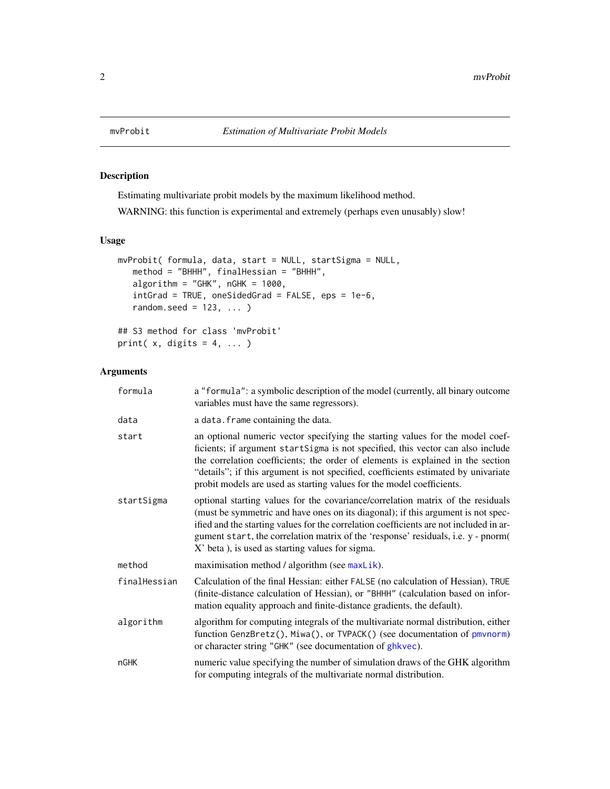# Description

Estimating multivariate probit models by the maximum likelihood method.

WARNING: this function is experimental and extremely (perhaps even unusably) slow!

# Usage

```
mvProbit( formula, data, start = NULL, startSigma = NULL,
   method = "BHHH", finalHessian = "BHHH",
  algorithm = "GHK", nGHK = 1000,
   intGrad = TRUE, oneSidedGrad = FALSE, eps = 1e-6,
   random.seed = 123, ... )
## S3 method for class 'mvProbit'
```

```
Arguments
```
print( $x$ , digits = 4, ...)

| formula      | a "formula": a symbolic description of the model (currently, all binary outcome<br>variables must have the same regressors).                                                                                                                                                                                                                                                                                       |
|--------------|--------------------------------------------------------------------------------------------------------------------------------------------------------------------------------------------------------------------------------------------------------------------------------------------------------------------------------------------------------------------------------------------------------------------|
| data         | a data. frame containing the data.                                                                                                                                                                                                                                                                                                                                                                                 |
| start        | an optional numeric vector specifying the starting values for the model coef-<br>ficients; if argument startSigma is not specified, this vector can also include<br>the correlation coefficients; the order of elements is explained in the section<br>"details"; if this argument is not specified, coefficients estimated by univariate<br>probit models are used as starting values for the model coefficients. |
| startSigma   | optional starting values for the covariance/correlation matrix of the residuals<br>(must be symmetric and have ones on its diagonal); if this argument is not spec-<br>ified and the starting values for the correlation coefficients are not included in ar-<br>gument start, the correlation matrix of the 'response' residuals, i.e. y - pnorm(<br>X' beta ), is used as starting values for sigma.             |
| method       | maximisation method / algorithm (see maxLik).                                                                                                                                                                                                                                                                                                                                                                      |
| finalHessian | Calculation of the final Hessian: either FALSE (no calculation of Hessian), TRUE<br>(finite-distance calculation of Hessian), or "BHHH" (calculation based on infor-<br>mation equality approach and finite-distance gradients, the default).                                                                                                                                                                      |
| algorithm    | algorithm for computing integrals of the multivariate normal distribution, either<br>function GenzBretz(), Miwa(), or TVPACK() (see documentation of pmvnorm)<br>or character string "GHK" (see documentation of ghkvec).                                                                                                                                                                                          |
| nGHK         | numeric value specifying the number of simulation draws of the GHK algorithm<br>for computing integrals of the multivariate normal distribution.                                                                                                                                                                                                                                                                   |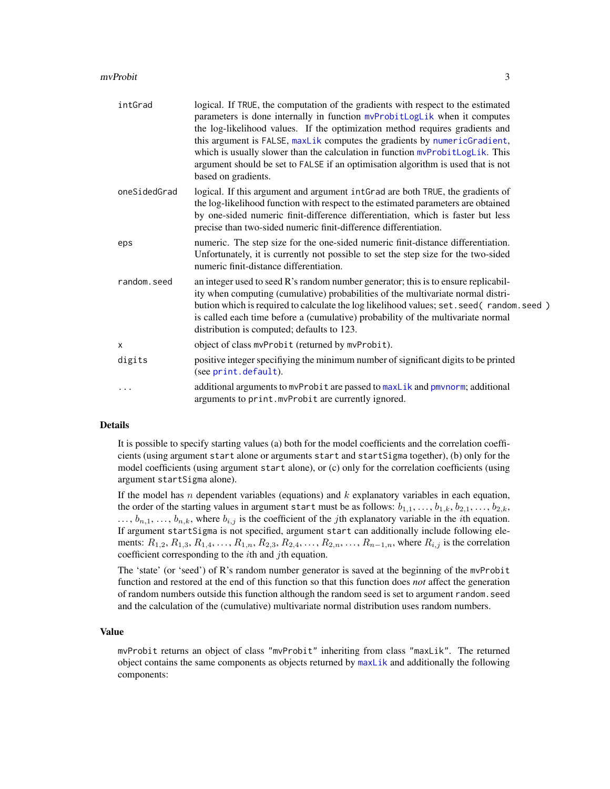#### <span id="page-2-0"></span>mvProbit 3

| intGrad      | logical. If TRUE, the computation of the gradients with respect to the estimated<br>parameters is done internally in function mvProbitLogLik when it computes<br>the log-likelihood values. If the optimization method requires gradients and<br>this argument is FALSE, maxLik computes the gradients by numericGradient,<br>which is usually slower than the calculation in function mvProbitLogLik. This<br>argument should be set to FALSE if an optimisation algorithm is used that is not<br>based on gradients. |
|--------------|------------------------------------------------------------------------------------------------------------------------------------------------------------------------------------------------------------------------------------------------------------------------------------------------------------------------------------------------------------------------------------------------------------------------------------------------------------------------------------------------------------------------|
| oneSidedGrad | logical. If this argument and argument intGrad are both TRUE, the gradients of<br>the log-likelihood function with respect to the estimated parameters are obtained<br>by one-sided numeric finit-difference differentiation, which is faster but less<br>precise than two-sided numeric finit-difference differentiation.                                                                                                                                                                                             |
| eps          | numeric. The step size for the one-sided numeric finit-distance differentiation.<br>Unfortunately, it is currently not possible to set the step size for the two-sided<br>numeric finit-distance differentiation.                                                                                                                                                                                                                                                                                                      |
| random.seed  | an integer used to seed R's random number generator; this is to ensure replicabil-<br>ity when computing (cumulative) probabilities of the multivariate normal distri-<br>bution which is required to calculate the log likelihood values; set. seed (random. seed)<br>is called each time before a (cumulative) probability of the multivariate normal<br>distribution is computed; defaults to 123.                                                                                                                  |
| $\mathsf{x}$ | object of class mvProbit (returned by mvProbit).                                                                                                                                                                                                                                                                                                                                                                                                                                                                       |
| digits       | positive integer specifiying the minimum number of significant digits to be printed<br>(see print.default).                                                                                                                                                                                                                                                                                                                                                                                                            |
| .            | additional arguments to mvProbit are passed to maxLik and pmvnorm; additional<br>arguments to print.mvProbit are currently ignored.                                                                                                                                                                                                                                                                                                                                                                                    |

#### Details

It is possible to specify starting values (a) both for the model coefficients and the correlation coefficients (using argument start alone or arguments start and startSigma together), (b) only for the model coefficients (using argument start alone), or (c) only for the correlation coefficients (using argument startSigma alone).

If the model has n dependent variables (equations) and  $k$  explanatory variables in each equation, the order of the starting values in argument start must be as follows:  $b_{1,1},...,b_{1,k},b_{2,1},...,b_{2,k}$ ,  $\ldots$ ,  $b_{n,1}, \ldots, b_{n,k}$ , where  $b_{i,j}$  is the coefficient of the *j*th explanatory variable in the *i*th equation. If argument startSigma is not specified, argument start can additionally include following elements:  $R_{1,2}, R_{1,3}, R_{1,4}, \ldots, R_{1,n}, R_{2,3}, R_{2,4}, \ldots, R_{2,n}, \ldots, R_{n-1,n}$ , where  $R_{i,j}$  is the correlation coefficient corresponding to the  $i$ th and  $j$ th equation.

The 'state' (or 'seed') of R's random number generator is saved at the beginning of the mvProbit function and restored at the end of this function so that this function does *not* affect the generation of random numbers outside this function although the random seed is set to argument random.seed and the calculation of the (cumulative) multivariate normal distribution uses random numbers.

# Value

mvProbit returns an object of class "mvProbit" inheriting from class "maxLik". The returned object contains the same components as objects returned by [maxLik](#page-0-0) and additionally the following components: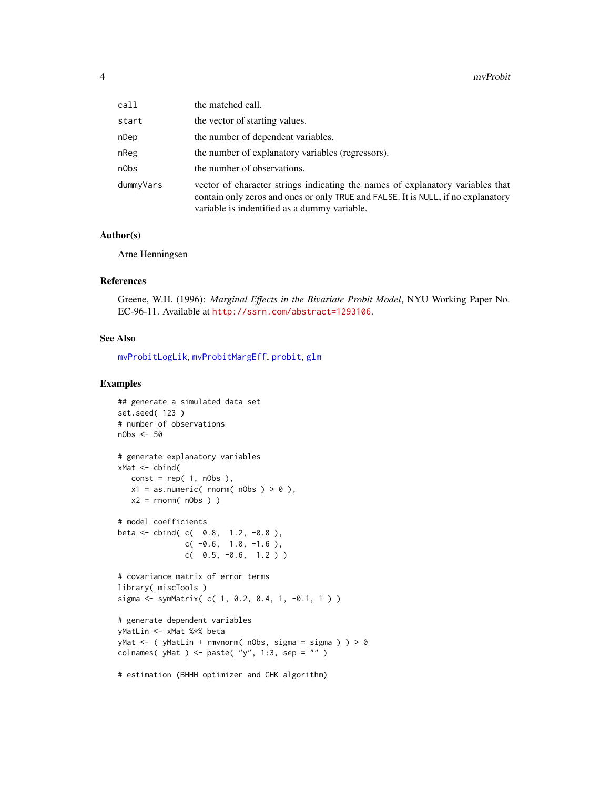<span id="page-3-0"></span>

| call      | the matched call.                                                                                                                                                                                                   |
|-----------|---------------------------------------------------------------------------------------------------------------------------------------------------------------------------------------------------------------------|
| start     | the vector of starting values.                                                                                                                                                                                      |
| nDep      | the number of dependent variables.                                                                                                                                                                                  |
| nReg      | the number of explanatory variables (regressors).                                                                                                                                                                   |
| n0bs      | the number of observations.                                                                                                                                                                                         |
| dummyVars | vector of character strings indicating the names of explanatory variables that<br>contain only zeros and ones or only TRUE and FALSE. It is NULL, if no explanatory<br>variable is indentified as a dummy variable. |

# Author(s)

Arne Henningsen

#### References

Greene, W.H. (1996): *Marginal Effects in the Bivariate Probit Model*, NYU Working Paper No. EC-96-11. Available at <http://ssrn.com/abstract=1293106>.

#### See Also

[mvProbitLogLik](#page-4-1), [mvProbitMargEff](#page-6-1), [probit](#page-0-0), [glm](#page-0-0)

# Examples

```
## generate a simulated data set
set.seed( 123 )
# number of observations
nObs <- 50
# generate explanatory variables
xMat \leftarrow \text{cbind}(const = rep(1, nObs),x1 = as.numeric( <i>rnorm( nObs ) > 0</i> ),x2 = rnorm(nObs)# model coefficients
beta <- cbind( c( 0.8, 1.2, -0.8 ),
               c(-0.6, 1.0, -1.6),
               c( 0.5, -0.6, 1.2 ) )
# covariance matrix of error terms
library( miscTools )
sigma <- symMatrix( c( 1, 0.2, 0.4, 1, -0.1, 1 ) )
# generate dependent variables
yMatLin <- xMat %*% beta
yMat \leq ( yMatLin + rmvnorm( nObs, sigma = sigma ) ) > 0
colnames( yMat ) <- paste( "y", 1:3, sep = "" )
# estimation (BHHH optimizer and GHK algorithm)
```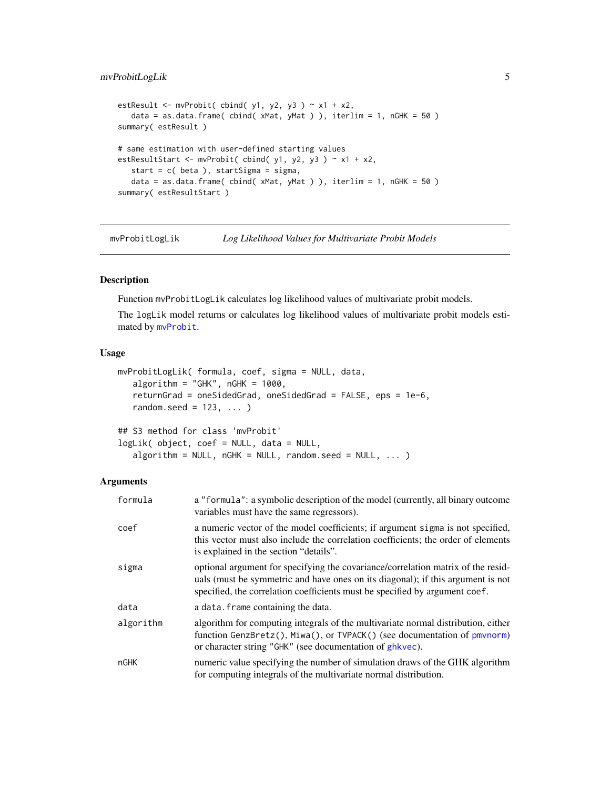# <span id="page-4-0"></span>mvProbitLogLik 5

```
estResult \leq mvProbit( cbind( y1, y2, y3 ) \sim x1 + x2,
   data = as.data.frame( cbind( xMat, yMat ) ), iterlim = 1, nGHK = 50 )
summary( estResult )
# same estimation with user-defined starting values
estResultStart <- mvProbit( cbind( y1, y2, y3 ) \sim x1 + x2,
   start = c( beta ), startSigma = sigma,
   data = as.data.frame( cbind( xMat, yMat ) ), iterlim = 1, nGHK = 50 )
summary( estResultStart )
```
<span id="page-4-1"></span>mvProbitLogLik *Log Likelihood Values for Multivariate Probit Models*

# Description

Function mvProbitLogLik calculates log likelihood values of multivariate probit models.

The logLik model returns or calculates log likelihood values of multivariate probit models estimated by [mvProbit](#page-1-1).

# Usage

```
mvProbitLogLik( formula, coef, sigma = NULL, data,
   algorithm = "GHK", nGHK = 1000,
   returnGrad = oneSidedGrad, oneSidedGrad = FALSE, eps = 1e-6,
   random.seed = 123, ...## S3 method for class 'mvProbit'
logLik( object, coef = NULL, data = NULL,
   algorithm = NULL, nGHK = NULL, random.seed = NULL, ...)
```
# Arguments

| formula   | a "formula": a symbolic description of the model (currently, all binary outcome<br>variables must have the same regressors).                                                                                                                       |
|-----------|----------------------------------------------------------------------------------------------------------------------------------------------------------------------------------------------------------------------------------------------------|
| coef      | a numeric vector of the model coefficients; if argument sigma is not specified,<br>this vector must also include the correlation coefficients; the order of elements<br>is explained in the section "details".                                     |
| sigma     | optional argument for specifying the covariance/correlation matrix of the resid-<br>uals (must be symmetric and have ones on its diagonal); if this argument is not<br>specified, the correlation coefficients must be specified by argument coef. |
| data      | a data. frame containing the data.                                                                                                                                                                                                                 |
| algorithm | algorithm for computing integrals of the multivariate normal distribution, either<br>function GenzBretz(), Miwa(), or TVPACK() (see documentation of pmvnorm)<br>or character string "GHK" (see documentation of ghkvec).                          |
| nGHK      | numeric value specifying the number of simulation draws of the GHK algorithm<br>for computing integrals of the multivariate normal distribution.                                                                                                   |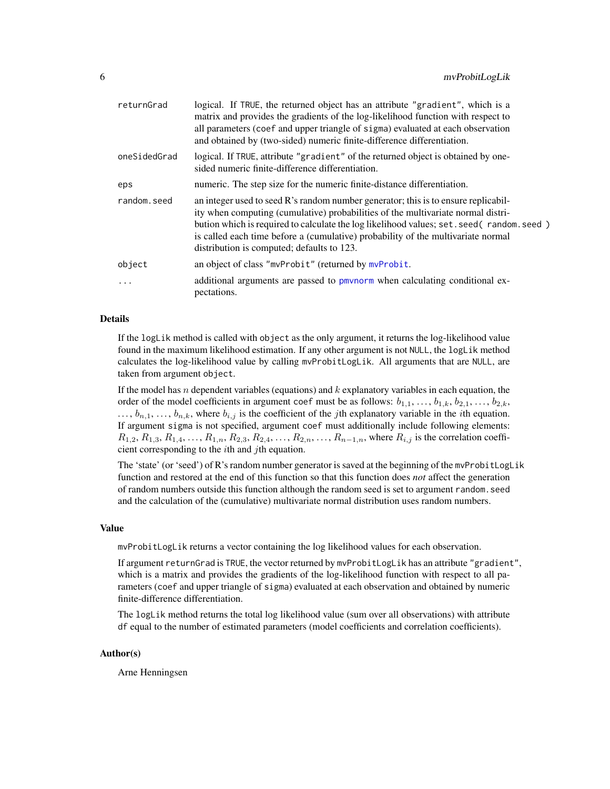<span id="page-5-0"></span>

| returnGrad   | logical. If TRUE, the returned object has an attribute "gradient", which is a<br>matrix and provides the gradients of the log-likelihood function with respect to<br>all parameters (coef and upper triangle of sigma) evaluated at each observation<br>and obtained by (two-sided) numeric finite-difference differentiation.                                                                                                                           |
|--------------|----------------------------------------------------------------------------------------------------------------------------------------------------------------------------------------------------------------------------------------------------------------------------------------------------------------------------------------------------------------------------------------------------------------------------------------------------------|
| oneSidedGrad | logical. If TRUE, attribute "gradient" of the returned object is obtained by one-<br>sided numeric finite-difference differentiation.                                                                                                                                                                                                                                                                                                                    |
| eps          | numeric. The step size for the numeric finite-distance differentiation.                                                                                                                                                                                                                                                                                                                                                                                  |
| random.seed  | an integer used to seed $\mathbb{R}^3$ and $\mathbb{R}^3$ and $\mathbb{R}^3$ per perfect and $\mathbb{R}^3$ is to ensure replicabil-<br>ity when computing (cumulative) probabilities of the multivariate normal distri-<br>bution which is required to calculate the log likelihood values; set . seed (random. seed)<br>is called each time before a (cumulative) probability of the multivariate normal<br>distribution is computed; defaults to 123. |
| object       | an object of class "mvProbit" (returned by mvProbit.                                                                                                                                                                                                                                                                                                                                                                                                     |
| $\ddotsc$    | additional arguments are passed to pmvnorm when calculating conditional ex-<br>pectations.                                                                                                                                                                                                                                                                                                                                                               |

### Details

If the logLik method is called with object as the only argument, it returns the log-likelihood value found in the maximum likelihood estimation. If any other argument is not NULL, the logLik method calculates the log-likelihood value by calling mvProbitLogLik. All arguments that are NULL, are taken from argument object.

If the model has n dependent variables (equations) and  $k$  explanatory variables in each equation, the order of the model coefficients in argument coef must be as follows:  $b_{1,1}, \ldots, b_{1,k}, b_{2,1}, \ldots, b_{2,k}$ ,  $\ldots$ ,  $b_{n,1}, \ldots, b_{n,k}$ , where  $b_{i,j}$  is the coefficient of the *j*th explanatory variable in the *i*th equation. If argument sigma is not specified, argument coef must additionally include following elements:  $R_{1,2}, R_{1,3}, R_{1,4}, \ldots, R_{1,n}, R_{2,3}, R_{2,4}, \ldots, R_{2,n}, \ldots, R_{n-1,n}$ , where  $R_{i,j}$  is the correlation coefficient corresponding to the ith and jth equation.

The 'state' (or 'seed') of R's random number generator is saved at the beginning of the mvProbitLogLik function and restored at the end of this function so that this function does *not* affect the generation of random numbers outside this function although the random seed is set to argument random.seed and the calculation of the (cumulative) multivariate normal distribution uses random numbers.

#### Value

mvProbitLogLik returns a vector containing the log likelihood values for each observation.

If argument returnGrad is TRUE, the vector returned by mvProbitLogLik has an attribute "gradient", which is a matrix and provides the gradients of the log-likelihood function with respect to all parameters (coef and upper triangle of sigma) evaluated at each observation and obtained by numeric finite-difference differentiation.

The logLik method returns the total log likelihood value (sum over all observations) with attribute df equal to the number of estimated parameters (model coefficients and correlation coefficients).

#### Author(s)

Arne Henningsen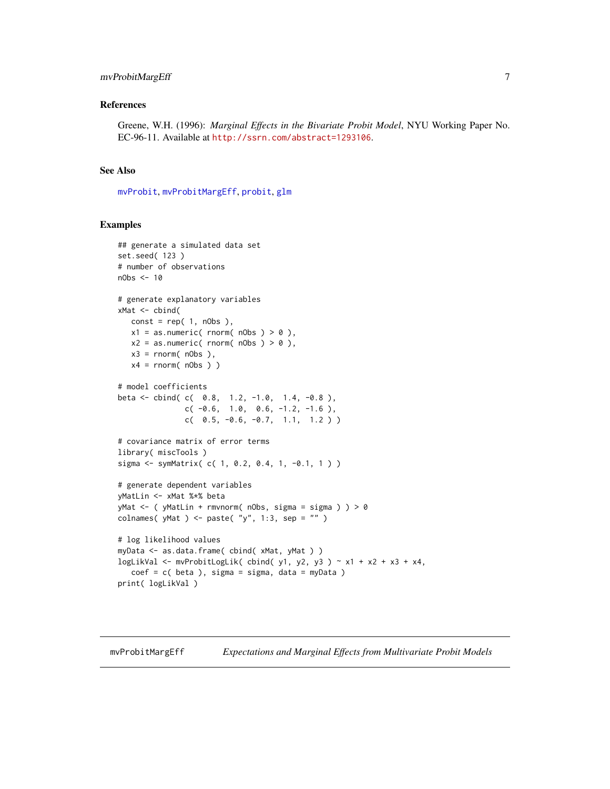# <span id="page-6-0"></span>mvProbitMargEff 7

#### References

Greene, W.H. (1996): *Marginal Effects in the Bivariate Probit Model*, NYU Working Paper No. EC-96-11. Available at <http://ssrn.com/abstract=1293106>.

#### See Also

[mvProbit](#page-1-1), [mvProbitMargEff](#page-6-1), [probit](#page-0-0), [glm](#page-0-0)

# Examples

```
## generate a simulated data set
set.seed( 123 )
# number of observations
nObs <- 10
# generate explanatory variables
xMat \leftarrow \text{cbind}(const = rep(1, nObs),x1 = as.numeric( <math>rnorm( nObs ) > 0</math> ),x2 = as.numeric( <i>rnorm( nObs ) > 0</i> ),x3 = \text{norm}( nObs ),x4 = \text{rnorm}( nObs ) )# model coefficients
beta <- cbind( c( 0.8, 1.2, -1.0, 1.4, -0.8 ),
               c(-0.6, 1.0, 0.6, -1.2, -1.6),
               c( 0.5, -0.6, -0.7, 1.1, 1.2))
# covariance matrix of error terms
library( miscTools )
sigma <- symMatrix( c( 1, 0.2, 0.4, 1, -0.1, 1 ) )
# generate dependent variables
yMatLin <- xMat %*% beta
yMat <- ( yMatLin + rmvnorm( nObs, sigma = sigma ) ) > 0
colnames( yMat ) <- paste( "y'', 1:3, sep = "" )
# log likelihood values
myData <- as.data.frame( cbind( xMat, yMat ) )
logLikVal <- mvProbitLogLik( cbind( y1, y2, y3 ) ~ x1 + x2 + x3 + x4,
   coef = c (beta), sigma = sigma, data = myData)
print( logLikVal )
```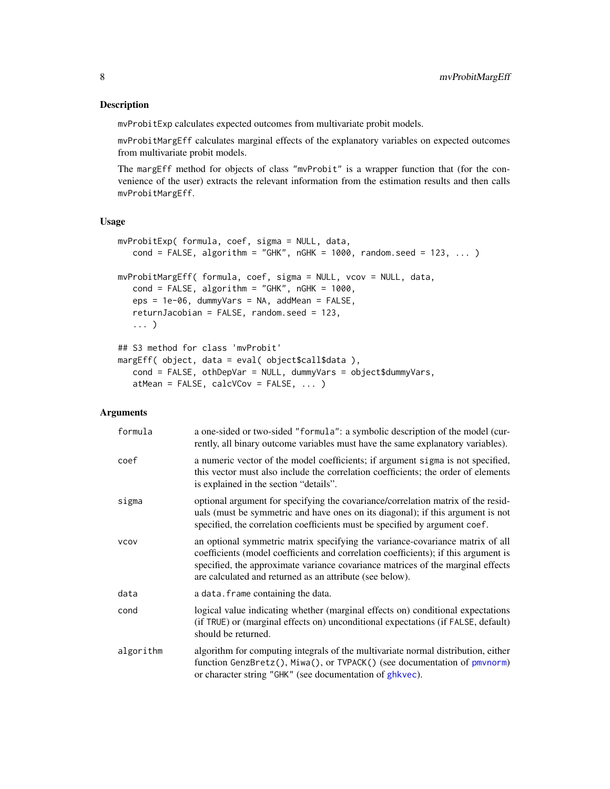### <span id="page-7-0"></span>Description

mvProbitExp calculates expected outcomes from multivariate probit models.

mvProbitMargEff calculates marginal effects of the explanatory variables on expected outcomes from multivariate probit models.

The margEff method for objects of class "mvProbit" is a wrapper function that (for the convenience of the user) extracts the relevant information from the estimation results and then calls mvProbitMargEff.

# Usage

```
mvProbitExp( formula, coef, sigma = NULL, data,
   cond = FALSE, algorithm = "GHK", nGHK = 1000, random.seed = 123, ... )
mvProbitMargEff( formula, coef, sigma = NULL, vcov = NULL, data,
   cond = FALSE, algorithm = "GHK", nGHK = 1000,
   eps = 1e-06, dummyVars = NA, addMean = FALSE,
   returnJacobian = FALSE, random.seed = 123,
   ... )
## S3 method for class 'mvProbit'
margEff( object, data = eval( object$call$data ),
   cond = FALSE, othDepVar = NULL, dummyVars = object$dummyVars,
   atMean = FALSE, calcVCov = FALSE, ... )
```
### Arguments

| formula     | a one-sided or two-sided "formula": a symbolic description of the model (cur-<br>rently, all binary outcome variables must have the same explanatory variables).                                                                                                                                                    |
|-------------|---------------------------------------------------------------------------------------------------------------------------------------------------------------------------------------------------------------------------------------------------------------------------------------------------------------------|
| coef        | a numeric vector of the model coefficients; if argument sigma is not specified,<br>this vector must also include the correlation coefficients; the order of elements<br>is explained in the section "details".                                                                                                      |
| sigma       | optional argument for specifying the covariance/correlation matrix of the resid-<br>uals (must be symmetric and have ones on its diagonal); if this argument is not<br>specified, the correlation coefficients must be specified by argument coef.                                                                  |
| <b>VCOV</b> | an optional symmetric matrix specifying the variance-covariance matrix of all<br>coefficients (model coefficients and correlation coefficients); if this argument is<br>specified, the approximate variance covariance matrices of the marginal effects<br>are calculated and returned as an attribute (see below). |
| data        | a data. frame containing the data.                                                                                                                                                                                                                                                                                  |
| cond        | logical value indicating whether (marginal effects on) conditional expectations<br>(if TRUE) or (marginal effects on) unconditional expectations (if FALSE, default)<br>should be returned.                                                                                                                         |
| algorithm   | algorithm for computing integrals of the multivariate normal distribution, either<br>function GenzBretz(), Miwa(), or TVPACK() (see documentation of pmvnorm)<br>or character string "GHK" (see documentation of ghkvec).                                                                                           |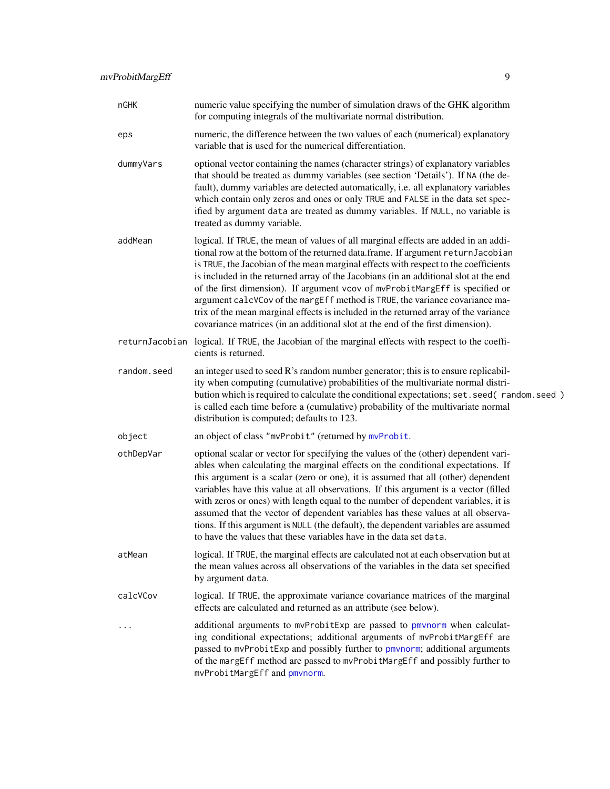<span id="page-8-0"></span>

| nGHK        | numeric value specifying the number of simulation draws of the GHK algorithm<br>for computing integrals of the multivariate normal distribution.                                                                                                                                                                                                                                                                                                                                                                                                                                                                                                                                              |
|-------------|-----------------------------------------------------------------------------------------------------------------------------------------------------------------------------------------------------------------------------------------------------------------------------------------------------------------------------------------------------------------------------------------------------------------------------------------------------------------------------------------------------------------------------------------------------------------------------------------------------------------------------------------------------------------------------------------------|
| eps         | numeric, the difference between the two values of each (numerical) explanatory<br>variable that is used for the numerical differentiation.                                                                                                                                                                                                                                                                                                                                                                                                                                                                                                                                                    |
| dummyVars   | optional vector containing the names (character strings) of explanatory variables<br>that should be treated as dummy variables (see section 'Details'). If NA (the de-<br>fault), dummy variables are detected automatically, i.e. all explanatory variables<br>which contain only zeros and ones or only TRUE and FALSE in the data set spec-<br>ified by argument data are treated as dummy variables. If NULL, no variable is<br>treated as dummy variable.                                                                                                                                                                                                                                |
| addMean     | logical. If TRUE, the mean of values of all marginal effects are added in an addi-<br>tional row at the bottom of the returned data.frame. If argument returnJacobian<br>is TRUE, the Jacobian of the mean marginal effects with respect to the coefficients<br>is included in the returned array of the Jacobians (in an additional slot at the end<br>of the first dimension). If argument vcov of mvProbitMargEff is specified or<br>argument calcVCov of the margEff method is TRUE, the variance covariance ma-<br>trix of the mean marginal effects is included in the returned array of the variance<br>covariance matrices (in an additional slot at the end of the first dimension). |
|             | returnJacobian logical. If TRUE, the Jacobian of the marginal effects with respect to the coeffi-<br>cients is returned.                                                                                                                                                                                                                                                                                                                                                                                                                                                                                                                                                                      |
| random.seed | an integer used to seed R's random number generator; this is to ensure replicabil-<br>ity when computing (cumulative) probabilities of the multivariate normal distri-<br>bution which is required to calculate the conditional expectations; set. seed (random. seed)<br>is called each time before a (cumulative) probability of the multivariate normal<br>distribution is computed; defaults to 123.                                                                                                                                                                                                                                                                                      |
| object      | an object of class "mvProbit" (returned by mvProbit.                                                                                                                                                                                                                                                                                                                                                                                                                                                                                                                                                                                                                                          |
| othDepVar   | optional scalar or vector for specifying the values of the (other) dependent vari-<br>ables when calculating the marginal effects on the conditional expectations. If<br>this argument is a scalar (zero or one), it is assumed that all (other) dependent<br>variables have this value at all observations. If this argument is a vector (filled<br>with zeros or ones) with length equal to the number of dependent variables, it is<br>assumed that the vector of dependent variables has these values at all observa-<br>tions. If this argument is NULL (the default), the dependent variables are assumed<br>to have the values that these variables have in the data set data.         |
| atMean      | logical. If TRUE, the marginal effects are calculated not at each observation but at<br>the mean values across all observations of the variables in the data set specified<br>by argument data.                                                                                                                                                                                                                                                                                                                                                                                                                                                                                               |
| calcVCov    | logical. If TRUE, the approximate variance covariance matrices of the marginal<br>effects are calculated and returned as an attribute (see below).                                                                                                                                                                                                                                                                                                                                                                                                                                                                                                                                            |
| $\ddotsc$   | additional arguments to mvProbitExp are passed to pmvnorm when calculat-<br>ing conditional expectations; additional arguments of mvProbitMargEff are<br>passed to mvProbitExp and possibly further to pmvnorm; additional arguments<br>of the margEff method are passed to mvProbitMargEff and possibly further to<br>mvProbitMargEff and pmvnorm.                                                                                                                                                                                                                                                                                                                                           |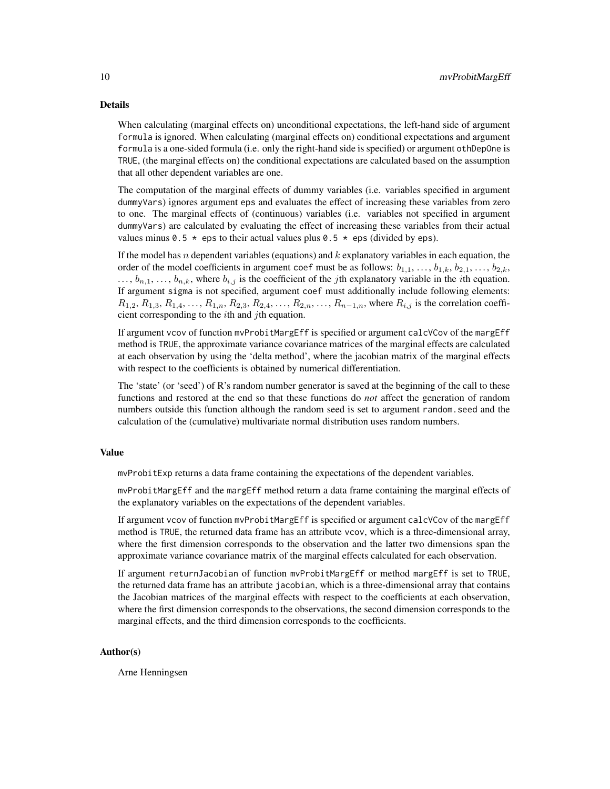# Details

When calculating (marginal effects on) unconditional expectations, the left-hand side of argument formula is ignored. When calculating (marginal effects on) conditional expectations and argument formula is a one-sided formula (i.e. only the right-hand side is specified) or argument othDepOne is TRUE, (the marginal effects on) the conditional expectations are calculated based on the assumption that all other dependent variables are one.

The computation of the marginal effects of dummy variables (i.e. variables specified in argument dummyVars) ignores argument eps and evaluates the effect of increasing these variables from zero to one. The marginal effects of (continuous) variables (i.e. variables not specified in argument dummyVars) are calculated by evaluating the effect of increasing these variables from their actual values minus 0.5  $\star$  eps to their actual values plus 0.5  $\star$  eps (divided by eps).

If the model has  $n$  dependent variables (equations) and  $k$  explanatory variables in each equation, the order of the model coefficients in argument coef must be as follows:  $b_{1,1}, \ldots, b_{1,k}, b_{2,1}, \ldots, b_{2,k}$ ,  $\ldots$ ,  $b_{n,1}, \ldots, b_{n,k}$ , where  $b_{i,j}$  is the coefficient of the *j*th explanatory variable in the *i*th equation. If argument sigma is not specified, argument coef must additionally include following elements:  $R_{1,2}, R_{1,3}, R_{1,4}, \ldots, R_{1,n}, R_{2,3}, R_{2,4}, \ldots, R_{2,n}, \ldots, R_{n-1,n}$ , where  $R_{i,j}$  is the correlation coefficient corresponding to the  $i$ th and  $j$ th equation.

If argument vcov of function mvProbitMargEff is specified or argument calcVCov of the margEff method is TRUE, the approximate variance covariance matrices of the marginal effects are calculated at each observation by using the 'delta method', where the jacobian matrix of the marginal effects with respect to the coefficients is obtained by numerical differentiation.

The 'state' (or 'seed') of R's random number generator is saved at the beginning of the call to these functions and restored at the end so that these functions do *not* affect the generation of random numbers outside this function although the random seed is set to argument random.seed and the calculation of the (cumulative) multivariate normal distribution uses random numbers.

# Value

mvProbitExp returns a data frame containing the expectations of the dependent variables.

mvProbitMargEff and the margEff method return a data frame containing the marginal effects of the explanatory variables on the expectations of the dependent variables.

If argument vcov of function mvProbitMargEff is specified or argument calcVCov of the margEff method is TRUE, the returned data frame has an attribute vcov, which is a three-dimensional array, where the first dimension corresponds to the observation and the latter two dimensions span the approximate variance covariance matrix of the marginal effects calculated for each observation.

If argument returnJacobian of function mvProbitMargEff or method margEff is set to TRUE, the returned data frame has an attribute jacobian, which is a three-dimensional array that contains the Jacobian matrices of the marginal effects with respect to the coefficients at each observation, where the first dimension corresponds to the observations, the second dimension corresponds to the marginal effects, and the third dimension corresponds to the coefficients.

# Author(s)

Arne Henningsen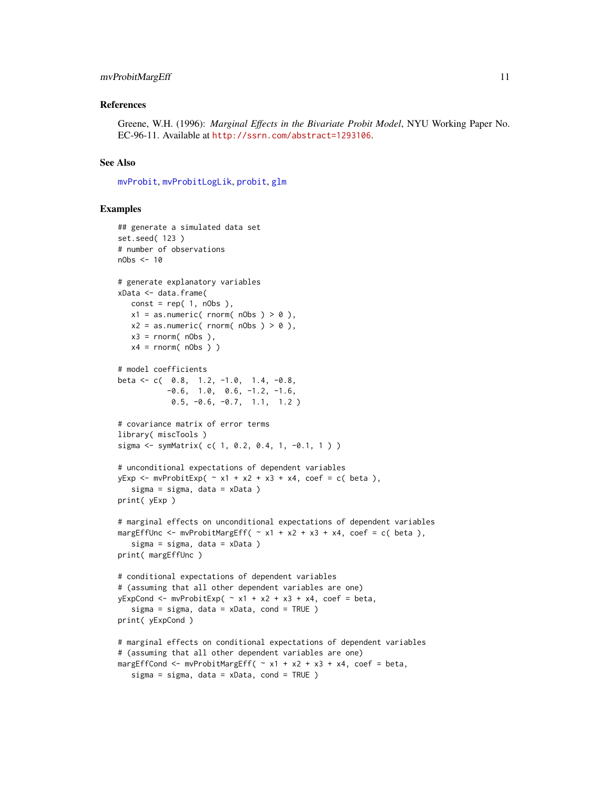#### <span id="page-10-0"></span>mvProbitMargEff 11

#### References

Greene, W.H. (1996): *Marginal Effects in the Bivariate Probit Model*, NYU Working Paper No. EC-96-11. Available at <http://ssrn.com/abstract=1293106>.

#### See Also

[mvProbit](#page-1-1), [mvProbitLogLik](#page-4-1), [probit](#page-0-0), [glm](#page-0-0)

### Examples

```
## generate a simulated data set
set.seed( 123 )
# number of observations
nObs < -10# generate explanatory variables
xData <- data.frame(
  const = rep(1, nObs),x1 = as.numeric( <i>rnorm( nObs ) > 0</i> ),x2 = as.numeric( <i>rnorm( nObs ) > 0</i> ),x3 = rnorm( nObs ),x4 = \text{rnorm}(\text{nObs})# model coefficients
beta <- c( 0.8, 1.2, -1.0, 1.4, -0.8,
           -0.6, 1.0, 0.6, -1.2, -1.6,
            0.5, -0.6, -0.7, 1.1, 1.2 )
# covariance matrix of error terms
library( miscTools )
sigma <- symMatrix( c( 1, 0.2, 0.4, 1, -0.1, 1 ) )
# unconditional expectations of dependent variables
yExp \le m \text{vProbability} \sim x1 + x2 + x3 + x4, \text{coeff} = c \text{ (beta)},
   sigma = sigma, data = xData )
print( yExp )
# marginal effects on unconditional expectations of dependent variables
margEffUnc <- mvProbitMargEff( \sim x1 + x2 + x3 + x4, coef = c( beta ),
   sigma = sigma, data = xData )
print( margEffUnc )
# conditional expectations of dependent variables
# (assuming that all other dependent variables are one)
yExpCond <- mvProbitExp( \sim x1 + x2 + x3 + x4, coef = beta,
   sigma = sigma, data = xData, cond = TRUE )
print( yExpCond )
# marginal effects on conditional expectations of dependent variables
# (assuming that all other dependent variables are one)
margEffCond \leq mvProbitMargEff( \sim x1 + x2 + x3 + x4, coef = beta,
   sigma = sigma, data = xData, cond = TRUE )
```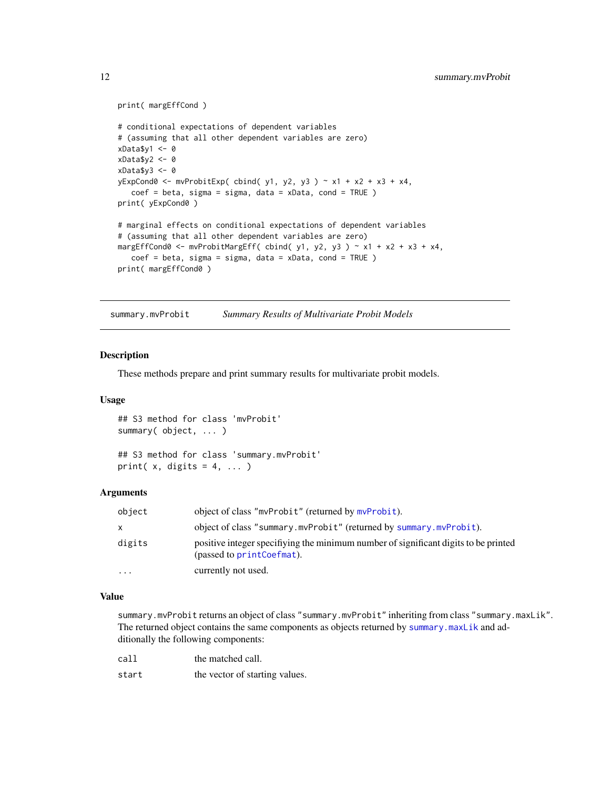```
print( margEffCond )
# conditional expectations of dependent variables
# (assuming that all other dependent variables are zero)
xData$y1 <- 0
xData$y2 <- 0
xData$y3 <- 0
yExpCond0 <- mvProbitExp( cbind( y1, y2, y3 ) \sim x1 + x2 + x3 + x4,
   coef = beta, sigma = sigma, data = xData, cond = TRUE )
print( yExpCond0 )
# marginal effects on conditional expectations of dependent variables
# (assuming that all other dependent variables are zero)
margEffCond0 <- mvProbitMargEff( cbind( y1, y2, y3 ) ~ x1 + x2 + x3 + x4,
   coef = beta, sigma = sigma, data = xData, cond = TRUE )
print( margEffCond0 )
```
<span id="page-11-1"></span>summary.mvProbit *Summary Results of Multivariate Probit Models*

# Description

These methods prepare and print summary results for multivariate probit models.

### Usage

```
## S3 method for class 'mvProbit'
summary( object, ... )
## S3 method for class 'summary.mvProbit'
```

```
print(x, digits = 4, ...)
```
# Arguments

| object   | object of class "mvProbit" (returned by mvProbit).                                                               |
|----------|------------------------------------------------------------------------------------------------------------------|
| X        | object of class "summary.mvProbit" (returned by summary.mvProbit).                                               |
| digits   | positive integer specifiying the minimum number of significant digits to be printed<br>(passed to printCoefmat). |
| $\cdots$ | currently not used.                                                                                              |

# Value

summary.mvProbit returns an object of class "summary.mvProbit" inheriting from class "summary.maxLik". The returned object contains the same components as objects returned by [summary.maxLik](#page-0-0) and additionally the following components:

| call  | the matched call.              |
|-------|--------------------------------|
| start | the vector of starting values. |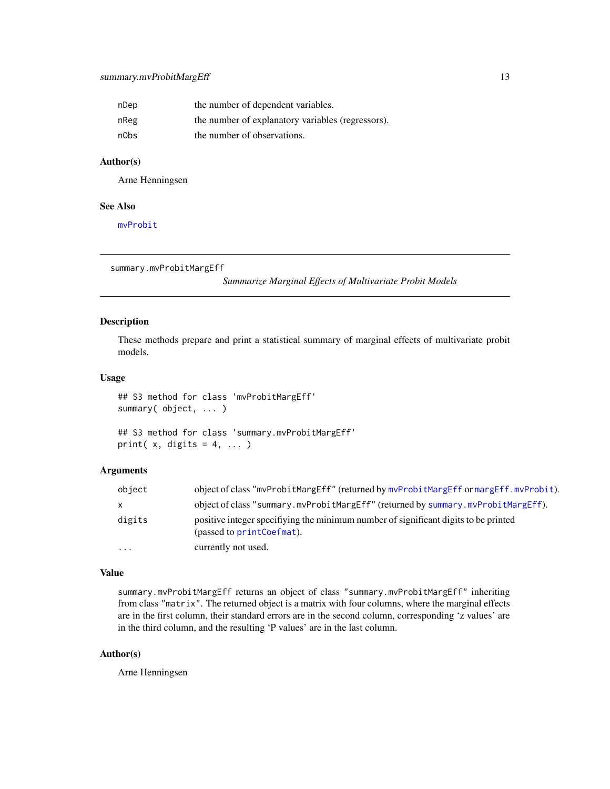# <span id="page-12-0"></span>summary.mvProbitMargEff 13

| nDep | the number of dependent variables.                |
|------|---------------------------------------------------|
| nReg | the number of explanatory variables (regressors). |
| n0bs | the number of observations.                       |

### Author(s)

Arne Henningsen

#### See Also

[mvProbit](#page-1-1)

```
summary.mvProbitMargEff
```
*Summarize Marginal Effects of Multivariate Probit Models*

# Description

These methods prepare and print a statistical summary of marginal effects of multivariate probit models.

# Usage

```
## S3 method for class 'mvProbitMargEff'
summary( object, ... )
## S3 method for class 'summary.mvProbitMargEff'
print(x, digits = 4, ...)
```
# Arguments

| object | object of class "mvProbitMargEff" (returned by mvProbitMargEff or margEff.mvProbit).                             |
|--------|------------------------------------------------------------------------------------------------------------------|
| X      | object of class "summary.myProbitMargEff" (returned by summary.myProbitMargEff).                                 |
| digits | positive integer specifiying the minimum number of significant digits to be printed<br>(passed to printCoefmat). |
| .      | currently not used.                                                                                              |

#### Value

summary.mvProbitMargEff returns an object of class "summary.mvProbitMargEff" inheriting from class "matrix". The returned object is a matrix with four columns, where the marginal effects are in the first column, their standard errors are in the second column, corresponding 'z values' are in the third column, and the resulting 'P values' are in the last column.

# Author(s)

Arne Henningsen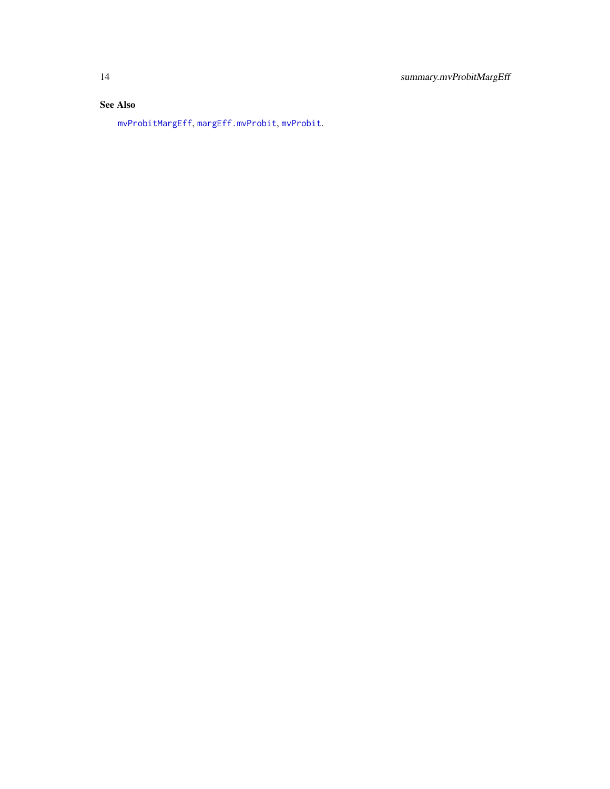# <span id="page-13-0"></span>See Also

[mvProbitMargEff](#page-6-1), [margEff.mvProbit](#page-6-2), [mvProbit](#page-1-1).